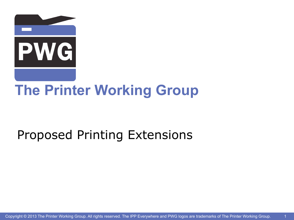

# **The Printer Working Group**

## Proposed Printing Extensions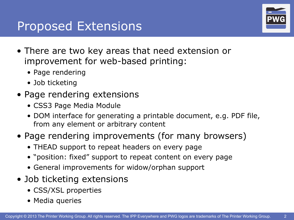#### Proposed Extensions



- There are two key areas that need extension or improvement for web-based printing:
	- Page rendering
	- Job ticketing
- Page rendering extensions
	- CSS3 Page Media Module
	- DOM interface for generating a printable document, e.g. PDF file, from any element or arbitrary content
- Page rendering improvements (for many browsers)
	- THEAD support to repeat headers on every page
	- "position: fixed" support to repeat content on every page
	- General improvements for widow/orphan support
- Job ticketing extensions
	- CSS/XSL properties
	- Media queries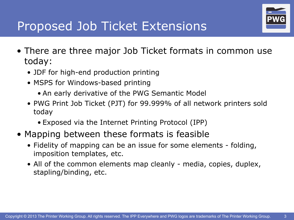

3

## Proposed Job Ticket Extensions

- There are three major Job Ticket formats in common use today:
	- JDF for high-end production printing
	- MSPS for Windows-based printing
		- An early derivative of the PWG Semantic Model
	- PWG Print Job Ticket (PJT) for 99.999% of all network printers sold today
		- Exposed via the Internet Printing Protocol (IPP)
- Mapping between these formats is feasible
	- Fidelity of mapping can be an issue for some elements folding, imposition templates, etc.
	- All of the common elements map cleanly media, copies, duplex, stapling/binding, etc.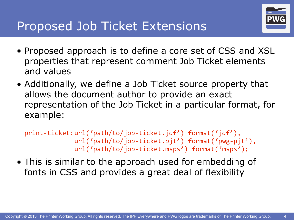

4

- Proposed approach is to define a core set of CSS and XSL properties that represent comment Job Ticket elements and values
- Additionally, we define a Job Ticket source property that allows the document author to provide an exact representation of the Job Ticket in a particular format, for example:

```
print-ticket:url('path/to/job-ticket.jdf') format('jdf'),
             	 	 url('path/to/job-ticket.pjt')	format('pwg-pjt'),
             url('path/to/job-ticket.msps') format('msps');
```
• This is similar to the approach used for embedding of fonts in CSS and provides a great deal of flexibility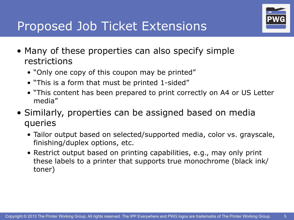

5

## Proposed Job Ticket Extensions

- Many of these properties can also specify simple restrictions
	- "Only one copy of this coupon may be printed"
	- "This is a form that must be printed 1-sided"
	- "This content has been prepared to print correctly on A4 or US Letter media"
- Similarly, properties can be assigned based on media queries
	- Tailor output based on selected/supported media, color vs. grayscale, finishing/duplex options, etc.
	- Restrict output based on printing capabilities, e.g., may only print these labels to a printer that supports true monochrome (black ink/ toner)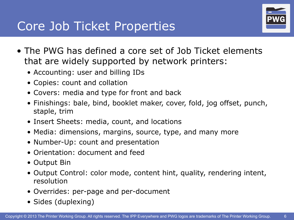#### Core Job Ticket Properties



- The PWG has defined a core set of Job Ticket elements that are widely supported by network printers:
	- Accounting: user and billing IDs
	- Copies: count and collation
	- Covers: media and type for front and back
	- Finishings: bale, bind, booklet maker, cover, fold, jog offset, punch, staple, trim
	- Insert Sheets: media, count, and locations
	- Media: dimensions, margins, source, type, and many more
	- Number-Up: count and presentation
	- Orientation: document and feed
	- Output Bin
	- Output Control: color mode, content hint, quality, rendering intent, resolution
	- Overrides: per-page and per-document
	- Sides (duplexing)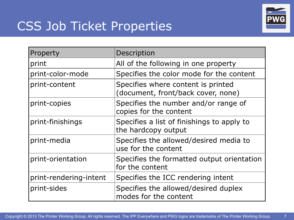# CSS Job Ticket Properties



| Property               | Description                                                              |
|------------------------|--------------------------------------------------------------------------|
| print                  | All of the following in one property                                     |
| print-color-mode       | Specifies the color mode for the content                                 |
| print-content          | Specifies where content is printed<br>(document, front/back cover, none) |
| print-copies           | Specifies the number and/or range of<br>copies for the content           |
| print-finishings       | Specifies a list of finishings to apply to<br>the hardcopy output        |
| print-media            | Specifies the allowed/desired media to<br>use for the content            |
| print-orientation      | Specifies the formatted output orientation<br>for the content            |
| print-rendering-intent | Specifies the ICC rendering intent                                       |
| print-sides            | Specifies the allowed/desired duplex<br>modes for the content            |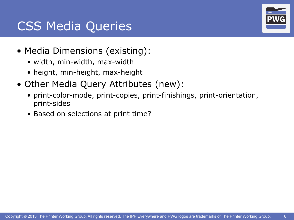## CSS Media Queries

- Media Dimensions (existing):
	- width, min-width, max-width
	- height, min-height, max-height
- Other Media Query Attributes (new):
	- print-color-mode, print-copies, print-finishings, print-orientation, print-sides
	- Based on selections at print time?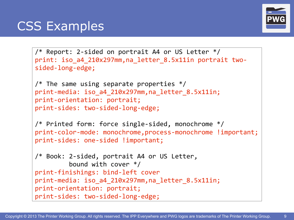## CSS Examples



```
\gamma^* Report: 2-sided on portrait A4 or US Letter \gammaprint: iso a4 210x297mm,na letter 8.5x11in portrait two-
sided-long-edge;
/* The same using separate properties */print-media:	iso_a4_210x297mm,na_letter_8.5x11in;
print-orientation: portrait;
print-sides: two-sided-long-edge;
/* Printed form: force single-sided, monochrome */
print-color-mode: monochrome,process-monochrome !important;
print-sides: one-sided !important;
/* Book: 2-sided, portrait A4 or US Letter,
         bound with cover */print-finishings:	bind-left	cover
print-media: iso a4 210x297mm,na letter 8.5x11in;
print-orientation: portrait;
print-sides: two-sided-long-edge;
```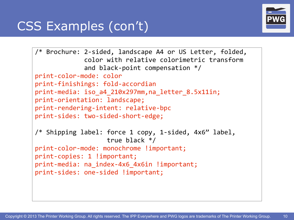# CSS Examples (con't)



```
/* Brochure: 2-sided, landscape A4 or US Letter, folded,
             color with relative colorimetric transform
             and black-point compensation */print-color-mode:	color
print-finishings:	fold-accordian
print-media:	iso_a4_210x297mm,na_letter_8.5x11in;
print-orientation:	landscape;
print-rendering-intent: relative-bpc
print-sides: two-sided-short-edge;
/* Shipping label: force 1 copy, 1-sided, 4x6" label,
                   true black */print-color-mode: monochrome !important;
print-copies: 1 !important;
print-media: na_index-4x6_4x6in !important;
print-sides: one-sided !important;
```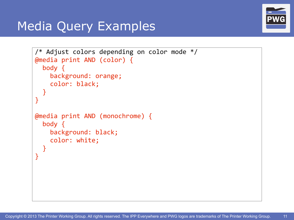

## Media Query Examples

```
/* Adjust colors depending on color mode */@media print AND (color) {
  body {
    background: orange;
    color: black;
		}
}
@media print AND (monochrome) {
  body {
    background: black;
    				color:	white;
		}
}
```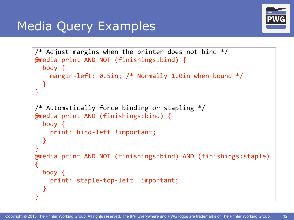

## Media Query Examples

```
/* Adjust margins when the printer does not bind */@media	print	AND	NOT	(finishings:bind)	{
  body {
    margin-left: 0.5in; /* Normally 1.0in when bound */		}
}
/* Automatically force binding or stapling */@media	print	AND	(finishings:bind)	{
  body {
    print: bind-left !important;
		}
}
@media	print	AND	NOT	(finishings:bind)	AND	(finishings:staple)	
{
  body {
    print: staple-top-left !important;
		}
}
```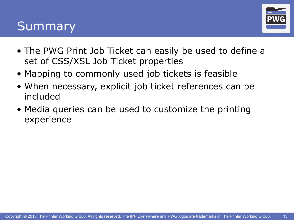#### Summary



- The PWG Print Job Ticket can easily be used to define a set of CSS/XSL Job Ticket properties
- Mapping to commonly used job tickets is feasible
- When necessary, explicit job ticket references can be included
- Media queries can be used to customize the printing experience